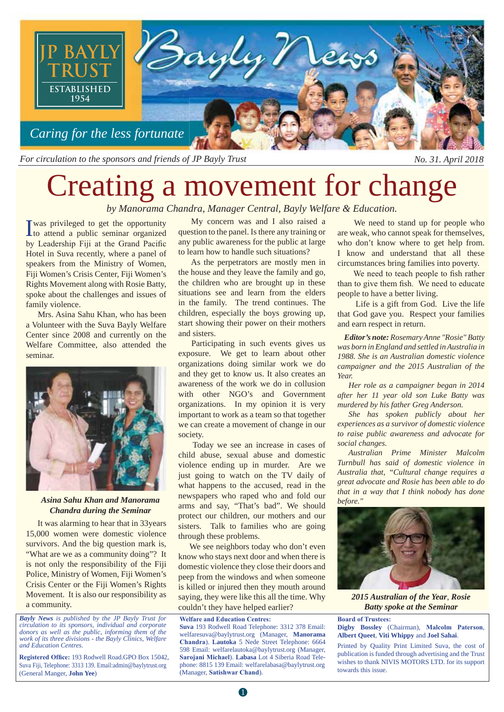

*For circulation to the sponsors and friends of JP Bayly Trust No. 31. April 2018*

# Creating a movement for change *by Manorama Chandra, Manager Central, Bayly Welfare & Education.*<br> **I** We see the opportunity and *My* concern was and *I* also raised a we need to state and a public seminar organized question to the panel. Is there any

was privileged to get the opportunity I to attend a public seminar organized by Leadership Fiji at the Grand Pacific Hotel in Suva recently, where a panel of speakers from the Ministry of Women, Fiji Women's Crisis Center, Fiji Women's Rights Movement along with Rosie Batty, spoke about the challenges and issues of family violence.

 Mrs. Asina Sahu Khan, who has been a Volunteer with the Suva Bayly Welfare Center since 2008 and currently on the Welfare Committee, also attended the seminar.



*Asina Sahu Khan and Manorama Chandra during the Seminar*

 It was alarming to hear that in 33years 15,000 women were domestic violence survivors. And the big question mark is, "What are we as a community doing"? It is not only the responsibility of the Fiji Police, Ministry of Women, Fiji Women's Crisis Center or the Fiji Women's Rights Movement. It is also our responsibility as a community.

*Bayly News is published by the JP Bayly Trust for circulation to its sponsors, individual and corporate donors as well as the public, informing them of the work of its three divisions - the Bayly Clinics, Welfare and Education Centres.*

Suva Fiji, Telephone: 3313 139. Email:admin@baylytrust.org Registered Office: 193 Rodwell Road.GPO Box 15042, (General Manger, **John Yee**)

 My concern was and I also raised a question to the panel. Is there any training or any public awareness for the public at large to learn how to handle such situations?

 As the perpetrators are mostly men in the house and they leave the family and go, the children who are brought up in these situations see and learn from the elders in the family. The trend continues. The children, especially the boys growing up, start showing their power on their mothers and sisters.

 Participating in such events gives us exposure. We get to learn about other organizations doing similar work we do and they get to know us. It also creates an awareness of the work we do in collusion with other NGO's and Government organizations. In my opinion it is very important to work as a team so that together we can create a movement of change in our society.

 Today we see an increase in cases of child abuse, sexual abuse and domestic violence ending up in murder. Are we just going to watch on the TV daily of what happens to the accused, read in the newspapers who raped who and fold our arms and say, "That's bad". We should protect our children, our mothers and our sisters. Talk to families who are going through these problems.

We see neighbors today who don't even know who stays next door and when there is domestic violence they close their doors and peep from the windows and when someone is killed or injured then they mouth around saying, they were like this all the time. Why couldn't they have helped earlier?

**Welfare and Education Centres:** 

**Suva** 193 Rodwell Road Telephone: 3312 378 Email: welfaresuva@baylytrust.org (Manager, **Manorama**  Chandra). Lautoka 5 Nede Street Telephone: 6664 598 Email: welfarelautoka@baylytrust.org (Manager, Sarojani Michael). Labasa Lot 4 Siberia Road Telephone: 8815 139 Email: welfarelabasa@baylytrust.org (Manager, Satishwar Chand).

 We need to stand up for people who are weak, who cannot speak for themselves, who don't know where to get help from. I know and understand that all these circumstances bring families into poverty.

We need to teach people to fish rather than to give them fish. We need to educate people to have a better living.

 Life is a gift from God. Live the life that God gave you. Respect your families and earn respect in return.

 *Editor's note: Rosemary Anne "Rosie" Batty was born in England and settled in Australia in 1988. She is an Australian domestic violence campaigner and the 2015 Australian of the Year.* 

 *Her role as a campaigner began in 2014 after her 11 year old son Luke Batty was murdered by his father Greg Anderson.*

 *She has spoken publicly about her experiences as a survivor of domestic violence to raise public awareness and advocate for social changes.*

 *Australian Prime Minister Malcolm Turnbull has said of domestic violence in Australia that, "Cultural change requires a great advocate and Rosie has been able to do that in a way that I think nobody has done before."* 



*2015 Australian of the Year*, *Rosie Batty spoke at the Seminar*

**Board of Trustees:** 

**Digby Bossley** (Chairman), **Malcolm Paterson**, **Albert Queet**, **Viti Whippy** and **Joel Sahai**.

Printed by Quality Print Limited Suva, the cost of publication is funded through advertising and the Trust wishes to thank NIVIS MOTORS LTD. for its support towards this issue.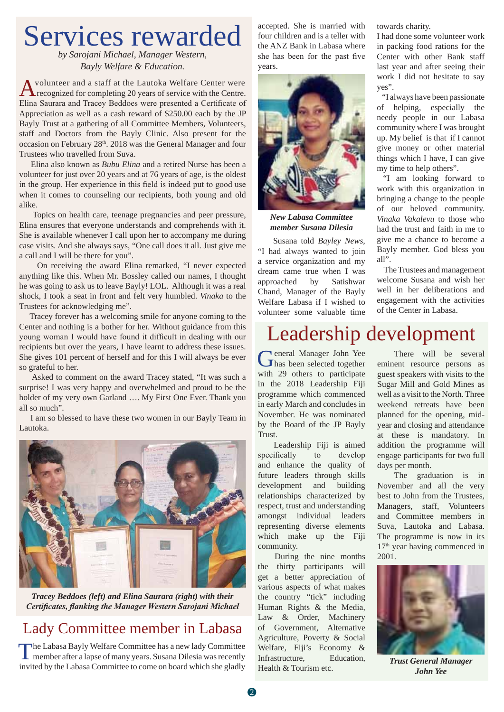## Services rewarded

*by Sarojani Michael, Manager Western, Bayly Welfare & Education.*

Avolunteer and a staff at the Lautoka Welfare Center were<br>
recognized for completing 20 years of service with the Centre. Elina Saurara and Tracey Beddoes were presented a Certificate of Appreciation as well as a cash reward of \$250.00 each by the JP Bayly Trust at a gathering of all Committee Members, Volunteers, staff and Doctors from the Bayly Clinic. Also present for the occasion on February 28th. 2018 was the General Manager and four Trustees who travelled from Suva.

 Elina also known as *Bubu Elina* and a retired Nurse has been a volunteer for just over 20 years and at 76 years of age, is the oldest in the group. Her experience in this field is indeed put to good use when it comes to counseling our recipients, both young and old alike.

 Topics on health care, teenage pregnancies and peer pressure, Elina ensures that everyone understands and comprehends with it. She is available whenever I call upon her to accompany me during case visits. And she always says, "One call does it all. Just give me a call and I will be there for you".

 On receiving the award Elina remarked, "I never expected anything like this. When Mr. Bossley called our names, I thought he was going to ask us to leave Bayly! LOL. Although it was a real shock, I took a seat in front and felt very humbled. *Vinaka* to the Trustees for acknowledging me".

 Tracey forever has a welcoming smile for anyone coming to the Center and nothing is a bother for her. Without guidance from this young woman I would have found it difficult in dealing with our recipients but over the years, I have learnt to address these issues. She gives 101 percent of herself and for this I will always be ever so grateful to her.

 Asked to comment on the award Tracey stated, "It was such a surprise! I was very happy and overwhelmed and proud to be the holder of my very own Garland …. My First One Ever. Thank you all so much".

 I am so blessed to have these two women in our Bayly Team in Lautoka.



*Tracey Beddoes (left) and Elina Saurara (right) with their* **Certificates, flanking the Manager Western Sarojani Michael** 

### Lady Committee member in Labasa

The Labasa Bayly Welfare Committee has a new lady Committee member after a lapse of many years. Susana Dilesia was recently invited by the Labasa Committee to come on board which she gladly

accepted. She is married with four children and is a teller with the ANZ Bank in Labasa where she has been for the past five years.



*New Labasa Committee member Susana Dilesia*

 Susana told *Bayley News*, "I had always wanted to join a service organization and my dream came true when I was approached by Satishwar Chand, Manager of the Bayly Welfare Labasa if I wished to volunteer some valuable time towards charity.

I had done some volunteer work in packing food rations for the Center with other Bank staff last year and after seeing their work I did not hesitate to say yes".

 "I always have been passionate of helping, especially the needy people in our Labasa community where I was brought up. My belief is that if I cannot give money or other material things which I have, I can give my time to help others".

 "I am looking forward to work with this organization in bringing a change to the people of our beloved community. *Vinaka Vakalevu* to those who had the trust and faith in me to give me a chance to become a Bayly member. God bless you all".

 The Trustees and management welcome Susana and wish her well in her deliberations and engagement with the activities of the Center in Labasa.

### Leadership development

General Manager John Yee has been selected together with 29 others to participate in the 2018 Leadership Fiji programme which commenced in early March and concludes in November. He was nominated by the Board of the JP Bayly Trust.

 Leadership Fiji is aimed specifically to develop and enhance the quality of future leaders through skills development and building relationships characterized by respect, trust and understanding amongst individual leaders representing diverse elements which make up the Fiji community.

 During the nine months the thirty participants will get a better appreciation of various aspects of what makes the country "tick" including Human Rights & the Media, Law & Order, Machinery of Government, Alternative Agriculture, Poverty & Social Welfare, Fiji's Economy & Infrastructure, Education, Health & Tourism etc.

 There will be several eminent resource persons as guest speakers with visits to the Sugar Mill and Gold Mines as well as a visit to the North. Three weekend retreats have been planned for the opening, midyear and closing and attendance at these is mandatory. In addition the programme will engage participants for two full days per month.

 The graduation is in November and all the very best to John from the Trustees, Managers, staff, Volunteers and Committee members in Suva, Lautoka and Labasa. The programme is now in its 17<sup>th</sup> year having commenced in 2001.



*Trust General Manager John Yee*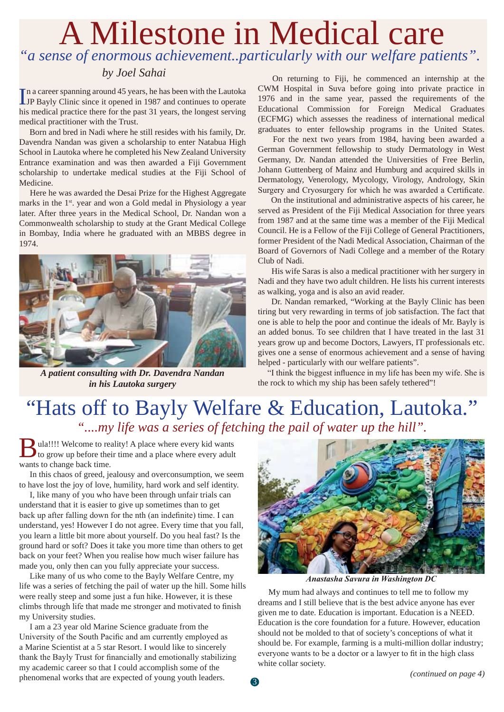### A Milestone in Medical care *"a sense of enormous achievement..particularly with our welfare patients".*

#### *by Joel Sahai*

In a career spanning around 45 years, he has been with the Lautoka<br>IP Bayly Clinic since it opened in 1987 and continues to operate JP Bayly Clinic since it opened in 1987 and continues to operate his medical practice there for the past 31 years, the longest serving medical practitioner with the Trust.

 Born and bred in Nadi where he still resides with his family, Dr. Davendra Nandan was given a scholarship to enter Natabua High School in Lautoka where he completed his New Zealand University Entrance examination and was then awarded a Fiji Government scholarship to undertake medical studies at the Fiji School of Medicine.

 Here he was awarded the Desai Prize for the Highest Aggregate marks in the 1<sup>st</sup>. year and won a Gold medal in Physiology a year later. After three years in the Medical School, Dr. Nandan won a Commonwealth scholarship to study at the Grant Medical College in Bombay, India where he graduated with an MBBS degree in 1974.



*A patient consulting with Dr. Davendra Nandan in his Lautoka surgery*

 On returning to Fiji, he commenced an internship at the CWM Hospital in Suva before going into private practice in 1976 and in the same year, passed the requirements of the Educational Commission for Foreign Medical Graduates (ECFMG) which assesses the readiness of international medical graduates to enter fellowship programs in the United States.

 For the next two years from 1984, having been awarded a German Government fellowship to study Dermatology in West Germany, Dr. Nandan attended the Universities of Free Berlin, Johann Guttenberg of Mainz and Humburg and acquired skills in Dermatology, Venerology, Mycology, Virology, Andrology, Skin Surgery and Cryosurgery for which he was awarded a Certificate.

 On the institutional and administrative aspects of his career, he served as President of the Fiji Medical Association for three years from 1987 and at the same time was a member of the Fiji Medical Council. He is a Fellow of the Fiji College of General Practitioners, former President of the Nadi Medical Association, Chairman of the Board of Governors of Nadi College and a member of the Rotary Club of Nadi.

 His wife Saras is also a medical practitioner with her surgery in Nadi and they have two adult children. He lists his current interests as walking, yoga and is also an avid reader.

 Dr. Nandan remarked, "Working at the Bayly Clinic has been tiring but very rewarding in terms of job satisfaction. The fact that one is able to help the poor and continue the ideals of Mr. Bayly is an added bonus. To see children that I have treated in the last 31 years grow up and become Doctors, Lawyers, IT professionals etc. gives one a sense of enormous achievement and a sense of having helped - particularly with our welfare patients".

"I think the biggest influence in my life has been my wife. She is the rock to which my ship has been safely tethered"!

### "Hats off to Bayly Welfare & Education, Lautoka." *"....my life was a series of fetching the pail of water up the hill".*

Bula!!!! Welcome to reality! A place where every kid wants to grow up before their time and a place where every adult wants to change back time.

 In this chaos of greed, jealousy and overconsumption, we seem to have lost the joy of love, humility, hard work and self identity.

 I, like many of you who have been through unfair trials can understand that it is easier to give up sometimes than to get back up after falling down for the nth (an indefinite) time. I can understand, yes! However I do not agree. Every time that you fall, you learn a little bit more about yourself. Do you heal fast? Is the ground hard or soft? Does it take you more time than others to get back on your feet? When you realise how much wiser failure has made you, only then can you fully appreciate your success.

 Like many of us who come to the Bayly Welfare Centre, my life was a series of fetching the pail of water up the hill. Some hills were really steep and some just a fun hike. However, it is these climbs through life that made me stronger and motivated to finish my University studies.

 I am a 23 year old Marine Science graduate from the University of the South Pacific and am currently employed as a Marine Scientist at a 5 star Resort. I would like to sincerely thank the Bayly Trust for financially and emotionally stabilizing my academic career so that I could accomplish some of the phenomenal works that are expected of young youth leaders.



**Anastasha Savura in Washington DC** 

 My mum had always and continues to tell me to follow my dreams and I still believe that is the best advice anyone has ever given me to date. Education is important. Education is a NEED. Education is the core foundation for a future. However, education should not be molded to that of society's conceptions of what it should be. For example, farming is a multi-million dollar industry; everyone wants to be a doctor or a lawyer to fit in the high class white collar society.